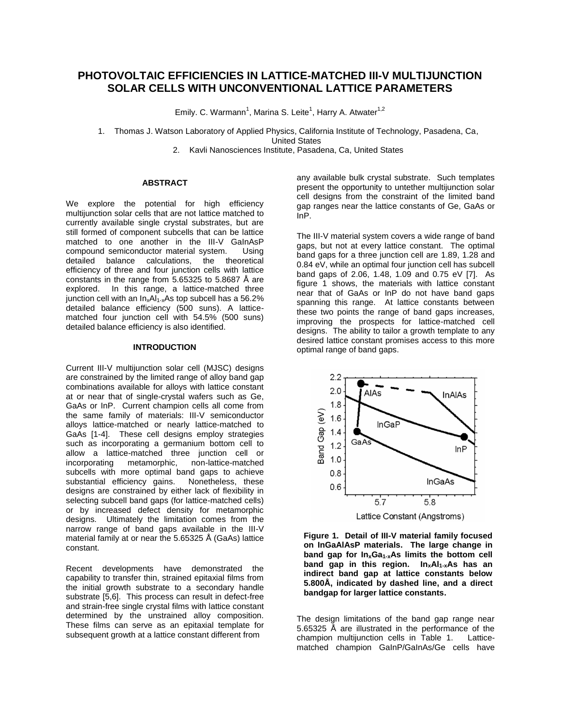# **PHOTOVOLTAIC EFFICIENCIES IN LATTICE-MATCHED III-V MULTIJUNCTION SOLAR CELLS WITH UNCONVENTIONAL LATTICE PARAMETERS**

Emily. C. Warmann<sup>1</sup>, Marina S. Leite<sup>1</sup>, Harry A. Atwater<sup>1,2</sup>

1. Thomas J. Watson Laboratory of Applied Physics, California Institute of Technology, Pasadena, Ca, United States

2. Kavli Nanosciences Institute, Pasadena, Ca, United States

## **ABSTRACT**

We explore the potential for high efficiency multijunction solar cells that are not lattice matched to currently available single crystal substrates, but are still formed of component subcells that can be lattice matched to one another in the III-V GaInAsP compound semiconductor material system. Using detailed balance calculations, the theoretical efficiency of three and four junction cells with lattice constants in the range from 5.65325 to 5.8687 Å are explored. In this range, a lattice-matched three junction cell with an  $In_xAl_{1-x}As$  top subcell has a 56.2% detailed balance efficiency (500 suns). A latticematched four junction cell with 54.5% (500 suns) detailed balance efficiency is also identified.

### **INTRODUCTION**

Current III-V multijunction solar cell (MJSC) designs are constrained by the limited range of alloy band gap combinations available for alloys with lattice constant at or near that of single-crystal wafers such as Ge, GaAs or InP. Current champion cells all come from the same family of materials: III-V semiconductor alloys lattice-matched or nearly lattice-matched to GaAs [1-4]. These cell designs employ strategies such as incorporating a germanium bottom cell to allow a lattice-matched three junction cell or<br>incorporating metamorphic, non-lattice-matched metamorphic, non-lattice-matched subcells with more optimal band gaps to achieve substantial efficiency gains. Nonetheless, these designs are constrained by either lack of flexibility in selecting subcell band gaps (for lattice-matched cells) or by increased defect density for metamorphic designs. Ultimately the limitation comes from the narrow range of band gaps available in the III-V material family at or near the 5.65325 Å (GaAs) lattice constant.

Recent developments have demonstrated the capability to transfer thin, strained epitaxial films from the initial growth substrate to a secondary handle substrate [5,6]. This process can result in defect-free and strain-free single crystal films with lattice constant determined by the unstrained alloy composition. These films can serve as an epitaxial template for subsequent growth at a lattice constant different from

any available bulk crystal substrate. Such templates present the opportunity to untether multijunction solar cell designs from the constraint of the limited band gap ranges near the lattice constants of Ge, GaAs or InP.

The III-V material system covers a wide range of band gaps, but not at every lattice constant. The optimal band gaps for a three junction cell are 1.89, 1.28 and 0.84 eV, while an optimal four junction cell has subcell band gaps of 2.06, 1.48, 1.09 and 0.75 eV [7]. As figure 1 shows, the materials with lattice constant near that of GaAs or InP do not have band gaps spanning this range. At lattice constants between these two points the range of band gaps increases, improving the prospects for lattice-matched cell designs. The ability to tailor a growth template to any desired lattice constant promises access to this more optimal range of band gaps.



**Figure 1. Detail of III-V material family focused on InGaAlAsP materials. The large change in band gap for InxGa1-xAs limits the bottom cell band gap in this region. InxAl1-xAs has an indirect band gap at lattice constants below 5.800Å, indicated by dashed line, and a direct bandgap for larger lattice constants.**

The design limitations of the band gap range near 5.65325 Å are illustrated in the performance of the champion multijunction cells in Table 1. Latticematched champion GaInP/GaInAs/Ge cells have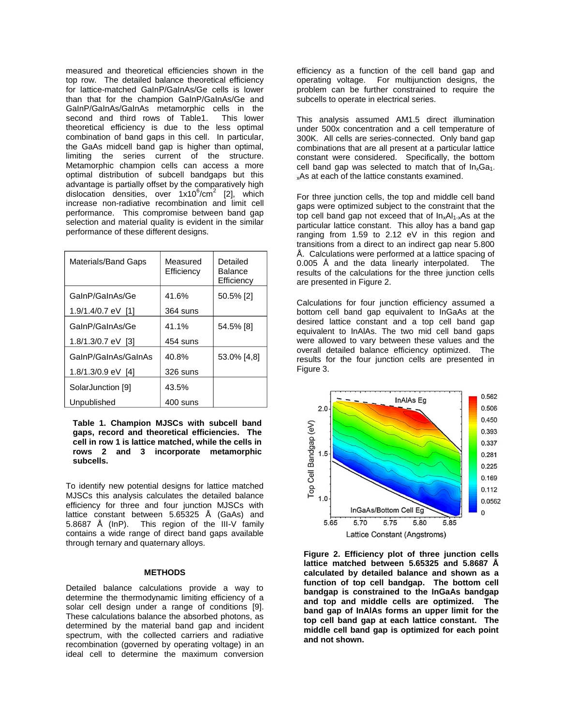measured and theoretical efficiencies shown in the top row. The detailed balance theoretical efficiency for lattice-matched GaInP/GaInAs/Ge cells is lower than that for the champion GaInP/GaInAs/Ge and GaInP/GaInAs/GaInAs metamorphic cells in the second and third rows of Table1. This lower theoretical efficiency is due to the less optimal combination of band gaps in this cell. In particular, the GaAs midcell band gap is higher than optimal, limiting the series current of the structure. Metamorphic champion cells can access a more optimal distribution of subcell bandgaps but this advantage is partially offset by the comparatively high dislocation densities, over 1x10<sup>6</sup>/cm<sup>2</sup> [2], which increase non-radiative recombination and limit cell performance. This compromise between band gap selection and material quality is evident in the similar performance of these different designs.

| Materials/Band Gaps | Measured<br>Efficiency | Detailed<br>Balance<br>Efficiency |
|---------------------|------------------------|-----------------------------------|
| GalnP/GalnAs/Ge     | 41.6%                  | 50.5% [2]                         |
| 1.9/1.4/0.7 eV [1]  | 364 suns               |                                   |
| GalnP/GalnAs/Ge     | 41.1%                  | 54.5% [8]                         |
| 1.8/1.3/0.7 eV [3]  | 454 suns               |                                   |
| GalnP/GalnAs/GalnAs | 40.8%                  | 53.0% [4,8]                       |
| 1.8/1.3/0.9 eV [4]  | 326 suns               |                                   |
| SolarJunction [9]   | 43.5%                  |                                   |
| Unpublished         | 400 suns               |                                   |

**Table 1. Champion MJSCs with subcell band gaps, record and theoretical efficiencies. The cell in row 1 is lattice matched, while the cells in rows 2 and 3 incorporate metamorphic subcells.**

To identify new potential designs for lattice matched MJSCs this analysis calculates the detailed balance efficiency for three and four junction MJSCs with lattice constant between 5.65325 Å (GaAs) and 5.8687 Å (InP). This region of the III-V family contains a wide range of direct band gaps available through ternary and quaternary alloys.

## **METHODS**

Detailed balance calculations provide a way to determine the thermodynamic limiting efficiency of a solar cell design under a range of conditions [9]. These calculations balance the absorbed photons, as determined by the material band gap and incident spectrum, with the collected carriers and radiative recombination (governed by operating voltage) in an ideal cell to determine the maximum conversion

efficiency as a function of the cell band gap and operating voltage. For multijunction designs, the problem can be further constrained to require the subcells to operate in electrical series.

This analysis assumed AM1.5 direct illumination under 500x concentration and a cell temperature of 300K. All cells are series-connected. Only band gap combinations that are all present at a particular lattice constant were considered. Specifically, the bottom cell band gap was selected to match that of  $In_xGa_1$ . <sub>x</sub>As at each of the lattice constants examined.

For three junction cells, the top and middle cell band gaps were optimized subject to the constraint that the top cell band gap not exceed that of  $In_xAl_{1-x}As$  at the particular lattice constant. This alloy has a band gap ranging from 1.59 to 2.12 eV in this region and transitions from a direct to an indirect gap near 5.800 Å. Calculations were performed at a lattice spacing of 0.005 Å and the data linearly interpolated. The results of the calculations for the three junction cells are presented in Figure 2.

Calculations for four junction efficiency assumed a bottom cell band gap equivalent to InGaAs at the desired lattice constant and a top cell band gap equivalent to InAlAs. The two mid cell band gaps were allowed to vary between these values and the overall detailed balance efficiency optimized. The results for the four junction cells are presented in Figure 3.



**Figure 2. Efficiency plot of three junction cells lattice matched between 5.65325 and 5.8687 Å calculated by detailed balance and shown as a function of top cell bandgap. The bottom cell bandgap is constrained to the InGaAs bandgap and top and middle cells are optimized. The band gap of InAlAs forms an upper limit for the top cell band gap at each lattice constant. The middle cell band gap is optimized for each point and not shown.**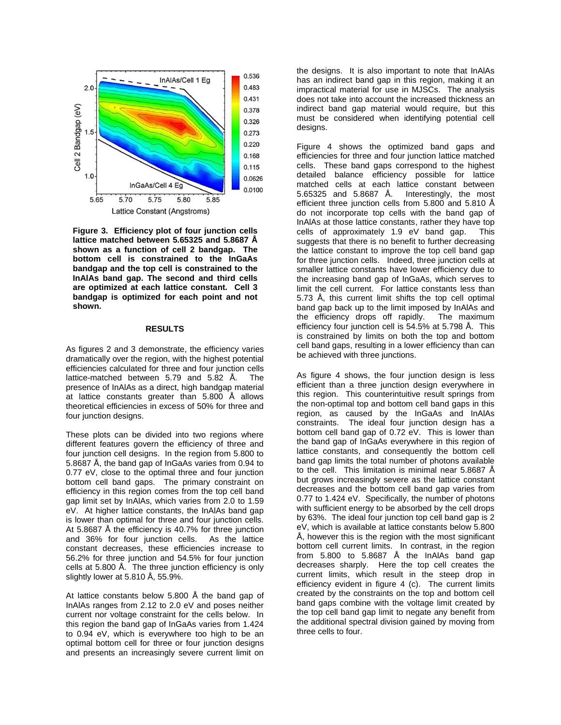

**Figure 3. Efficiency plot of four junction cells lattice matched between 5.65325 and 5.8687 Å shown as a function of cell 2 bandgap. The bottom cell is constrained to the InGaAs bandgap and the top cell is constrained to the InAlAs band gap. The second and third cells are optimized at each lattice constant. Cell 3 bandgap is optimized for each point and not shown.**

#### **RESULTS**

As figures 2 and 3 demonstrate, the efficiency varies dramatically over the region, with the highest potential efficiencies calculated for three and four junction cells lattice-matched between 5.79 and 5.82 Å. The presence of InAlAs as a direct, high bandgap material at lattice constants greater than 5.800 Å allows theoretical efficiencies in excess of 50% for three and four junction designs.

These plots can be divided into two regions where different features govern the efficiency of three and four junction cell designs. In the region from 5.800 to 5.8687 Å, the band gap of InGaAs varies from 0.94 to 0.77 eV, close to the optimal three and four junction bottom cell band gaps. The primary constraint on efficiency in this region comes from the top cell band gap limit set by InAlAs, which varies from 2.0 to 1.59 eV. At higher lattice constants, the InAlAs band gap is lower than optimal for three and four junction cells. At 5.8687 Å the efficiency is 40.7% for three junction and 36% for four junction cells. As the lattice constant decreases, these efficiencies increase to 56.2% for three junction and 54.5% for four junction cells at 5.800 Å. The three junction efficiency is only slightly lower at 5.810 Å, 55.9%.

At lattice constants below 5.800 Å the band gap of InAlAs ranges from 2.12 to 2.0 eV and poses neither current nor voltage constraint for the cells below. In this region the band gap of InGaAs varies from 1.424 to 0.94 eV, which is everywhere too high to be an optimal bottom cell for three or four junction designs and presents an increasingly severe current limit on

the designs. It is also important to note that InAlAs has an indirect band gap in this region, making it an impractical material for use in MJSCs. The analysis does not take into account the increased thickness an indirect band gap material would require, but this must be considered when identifying potential cell desians.

Figure 4 shows the optimized band gaps and efficiencies for three and four junction lattice matched cells. These band gaps correspond to the highest detailed balance efficiency possible for lattice matched cells at each lattice constant between 5.65325 and 5.8687 Å. Interestingly, the most efficient three junction cells from 5.800 and 5.810 Å do not incorporate top cells with the band gap of InAlAs at those lattice constants, rather they have top cells of approximately 1.9 eV band gap. This suggests that there is no benefit to further decreasing the lattice constant to improve the top cell band gap for three junction cells. Indeed, three junction cells at smaller lattice constants have lower efficiency due to the increasing band gap of InGaAs, which serves to limit the cell current. For lattice constants less than 5.73 Å, this current limit shifts the top cell optimal band gap back up to the limit imposed by InAlAs and the efficiency drops off rapidly. The maximum efficiency four junction cell is 54.5% at 5.798 Å. This is constrained by limits on both the top and bottom cell band gaps, resulting in a lower efficiency than can be achieved with three junctions.

As figure 4 shows, the four junction design is less efficient than a three junction design everywhere in this region. This counterintuitive result springs from the non-optimal top and bottom cell band gaps in this region, as caused by the InGaAs and InAlAs constraints. The ideal four junction design has a bottom cell band gap of 0.72 eV. This is lower than the band gap of InGaAs everywhere in this region of lattice constants, and consequently the bottom cell band gap limits the total number of photons available to the cell. This limitation is minimal near 5.8687 Å but grows increasingly severe as the lattice constant decreases and the bottom cell band gap varies from 0.77 to 1.424 eV. Specifically, the number of photons with sufficient energy to be absorbed by the cell drops by 63%. The ideal four junction top cell band gap is 2 eV, which is available at lattice constants below 5.800 Å, however this is the region with the most significant bottom cell current limits. In contrast, in the region from 5.800 to 5.8687 Å the InAlAs band gap decreases sharply. Here the top cell creates the current limits, which result in the steep drop in efficiency evident in figure 4 (c). The current limits created by the constraints on the top and bottom cell band gaps combine with the voltage limit created by the top cell band gap limit to negate any benefit from the additional spectral division gained by moving from three cells to four.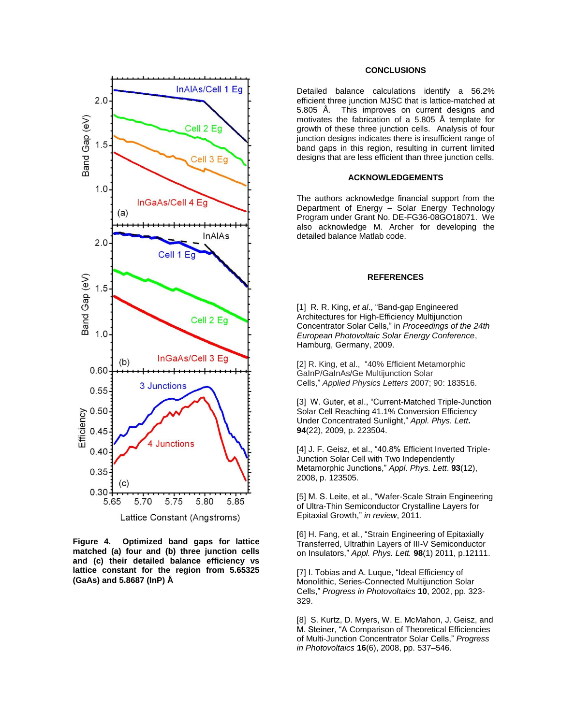

**Figure 4. Optimized band gaps for lattice matched (a) four and (b) three junction cells and (c) their detailed balance efficiency vs lattice constant for the region from 5.65325 (GaAs) and 5.8687 (InP) Å**

# **CONCLUSIONS**

Detailed balance calculations identify a 56.2% efficient three junction MJSC that is lattice-matched at 5.805 Å. This improves on current designs and motivates the fabrication of a 5.805 Å template for growth of these three junction cells. Analysis of four junction designs indicates there is insufficient range of band gaps in this region, resulting in current limited designs that are less efficient than three junction cells.

# **ACKNOWLEDGEMENTS**

The authors acknowledge financial support from the Department of Energy – Solar Energy Technology Program under Grant No. DE-FG36-08GO18071. We also acknowledge M. Archer for developing the detailed balance Matlab code.

## **REFERENCES**

[1] R. R. King, *et al*., "Band-gap Engineered Architectures for High-Efficiency Multijunction Concentrator Solar Cells," in *Proceedings of the 24th European Photovoltaic Solar Energy Conference*, Hamburg, Germany, 2009.

[2] R. King, et al., "40% Efficient Metamorphic GaInP/GaInAs/Ge Multijunction Solar Cells," *Applied Physics Letters* 2007; 90: 183516.

[3] W. Guter, et al., "Current-Matched Triple-Junction Solar Cell Reaching 41.1% Conversion Efficiency Under Concentrated Sunlight," *Appl. Phys. Lett***. 94**(22), 2009, p. 223504.

[4] J. F. Geisz, et al., "40.8% Efficient Inverted Triple-Junction Solar Cell with Two Independently Metamorphic Junctions," *Appl. Phys. Lett*. **93**(12), 2008, p. 123505.

[5] M. S. Leite, et al., "Wafer-Scale Strain Engineering of Ultra-Thin Semiconductor Crystalline Layers for Epitaxial Growth," *in review*, 2011.

[6] H. Fang, et al., "Strain Engineering of Epitaxially Transferred, Ultrathin Layers of III-V Semiconductor on Insulators," *Appl. Phys. Lett.* **98**(1) 2011, p.12111.

[7] I. Tobias and A. Luque, "Ideal Efficiency of Monolithic, Series-Connected Multijunction Solar Cells," *Progress in Photovoltaics* **10**, 2002, pp. 323- 329.

[8] S. Kurtz, D. Myers, W. E. McMahon, J. Geisz, and M. Steiner, "A Comparison of Theoretical Efficiencies of Multi-Junction Concentrator Solar Cells," *Progress in Photovoltaics* **16**(6), 2008, pp. 537–546.